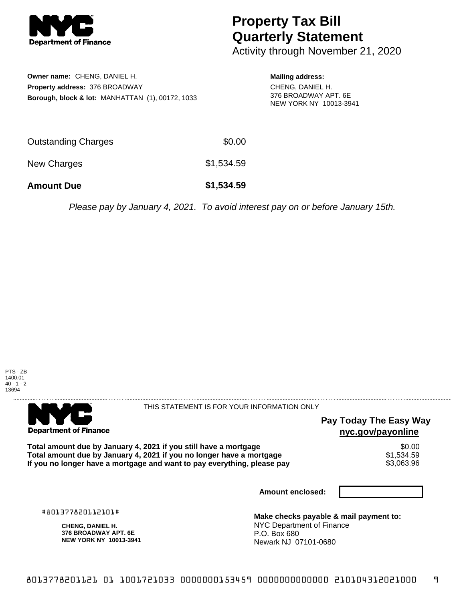

## **Property Tax Bill Quarterly Statement**

Activity through November 21, 2020

| Owner name: CHENG, DANIEL H.                                |
|-------------------------------------------------------------|
| <b>Property address: 376 BROADWAY</b>                       |
| <b>Borough, block &amp; lot: MANHATTAN (1), 00172, 1033</b> |

**Mailing address:** CHENG, DANIEL H. 376 BROADWAY APT. 6E NEW YORK NY 10013-3941

| <b>Amount Due</b>   | \$1,534.59 |
|---------------------|------------|
| New Charges         | \$1,534.59 |
| Outstanding Charges | \$0.00     |

Please pay by January 4, 2021. To avoid interest pay on or before January 15th.





THIS STATEMENT IS FOR YOUR INFORMATION ONLY

## **Pay Today The Easy Way nyc.gov/payonline**

Total amount due by January 4, 2021 if you still have a mortgage \$0.00<br>Total amount due by January 4, 2021 if you no longer have a mortgage \$1.534.59 **Total amount due by January 4, 2021 if you no longer have a mortgage**  $$1,534.59$ **<br>If you no longer have a mortgage and want to pay everything, please pay**  $$3,063.96$ If you no longer have a mortgage and want to pay everything, please pay

**Amount enclosed:**

#801377820112101#

**CHENG, DANIEL H. 376 BROADWAY APT. 6E NEW YORK NY 10013-3941**

**Make checks payable & mail payment to:** NYC Department of Finance P.O. Box 680 Newark NJ 07101-0680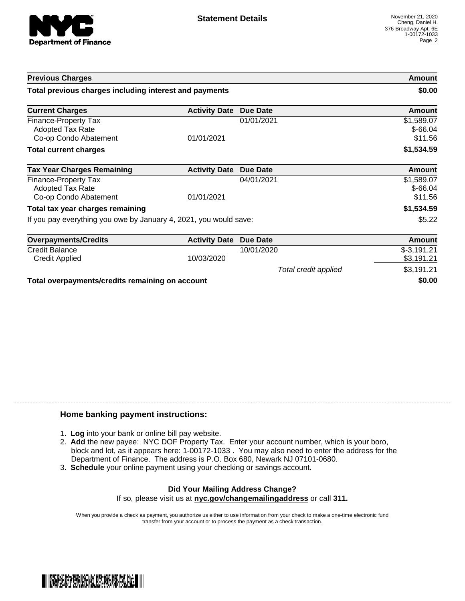

| <b>Previous Charges</b>                                           |                      |                      | Amount                  |
|-------------------------------------------------------------------|----------------------|----------------------|-------------------------|
| Total previous charges including interest and payments            |                      |                      | \$0.00                  |
| <b>Current Charges</b>                                            | <b>Activity Date</b> | <b>Due Date</b>      | Amount                  |
| Finance-Property Tax<br><b>Adopted Tax Rate</b>                   |                      | 01/01/2021           | \$1,589.07<br>$$-66.04$ |
| Co-op Condo Abatement                                             | 01/01/2021           |                      | \$11.56                 |
| <b>Total current charges</b>                                      |                      |                      | \$1,534.59              |
| <b>Tax Year Charges Remaining</b>                                 | <b>Activity Date</b> | <b>Due Date</b>      | <b>Amount</b>           |
| Finance-Property Tax<br><b>Adopted Tax Rate</b>                   |                      | 04/01/2021           | \$1,589.07<br>$$-66.04$ |
| Co-op Condo Abatement                                             | 01/01/2021           |                      | \$11.56                 |
| Total tax year charges remaining                                  |                      |                      | \$1,534.59              |
| If you pay everything you owe by January 4, 2021, you would save: |                      |                      | \$5.22                  |
| <b>Overpayments/Credits</b>                                       | <b>Activity Date</b> | Due Date             | <b>Amount</b>           |
| <b>Credit Balance</b>                                             |                      | 10/01/2020           | $$-3,191.21$            |
| <b>Credit Applied</b>                                             | 10/03/2020           |                      | \$3,191.21              |
|                                                                   |                      | Total credit applied | \$3,191.21              |
| Total overpayments/credits remaining on account                   |                      | \$0.00               |                         |

## **Home banking payment instructions:**

- 1. **Log** into your bank or online bill pay website.
- 2. **Add** the new payee: NYC DOF Property Tax. Enter your account number, which is your boro, block and lot, as it appears here: 1-00172-1033 . You may also need to enter the address for the Department of Finance. The address is P.O. Box 680, Newark NJ 07101-0680.
- 3. **Schedule** your online payment using your checking or savings account.

## **Did Your Mailing Address Change?** If so, please visit us at **nyc.gov/changemailingaddress** or call **311.**

When you provide a check as payment, you authorize us either to use information from your check to make a one-time electronic fund transfer from your account or to process the payment as a check transaction.